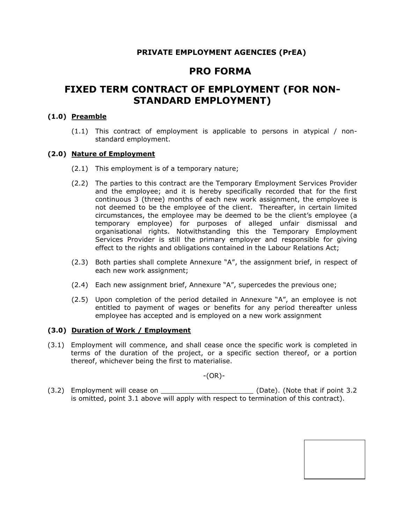# **PRIVATE EMPLOYMENT AGENCIES (PrEA)**

# **PRO FORMA**

# **FIXED TERM CONTRACT OF EMPLOYMENT (FOR NON-STANDARD EMPLOYMENT)**

### **(1.0) Preamble**

(1.1) This contract of employment is applicable to persons in atypical / nonstandard employment.

#### **(2.0) Nature of Employment**

- (2.1) This employment is of a temporary nature;
- (2.2) The parties to this contract are the Temporary Employment Services Provider and the employee; and it is hereby specifically recorded that for the first continuous 3 (three) months of each new work assignment, the employee is not deemed to be the employee of the client. Thereafter, in certain limited circumstances, the employee may be deemed to be the client's employee (a temporary employee) for purposes of alleged unfair dismissal and organisational rights. Notwithstanding this the Temporary Employment Services Provider is still the primary employer and responsible for giving effect to the rights and obligations contained in the Labour Relations Act;
- (2.3) Both parties shall complete Annexure "A", the assignment brief, in respect of each new work assignment;
- (2.4) Each new assignment brief, Annexure "A", supercedes the previous one;
- (2.5) Upon completion of the period detailed in Annexure "A", an employee is not entitled to payment of wages or benefits for any period thereafter unless employee has accepted and is employed on a new work assignment

#### **(3.0) Duration of Work / Employment**

(3.1) Employment will commence, and shall cease once the specific work is completed in terms of the duration of the project, or a specific section thereof, or a portion thereof, whichever being the first to materialise.

-(OR)-

(3.2) Employment will cease on \_\_\_\_\_\_\_\_\_\_\_\_\_\_\_\_\_\_\_\_\_\_\_\_\_\_\_(Date). (Note that if point 3.2 is omitted, point 3.1 above will apply with respect to termination of this contract).

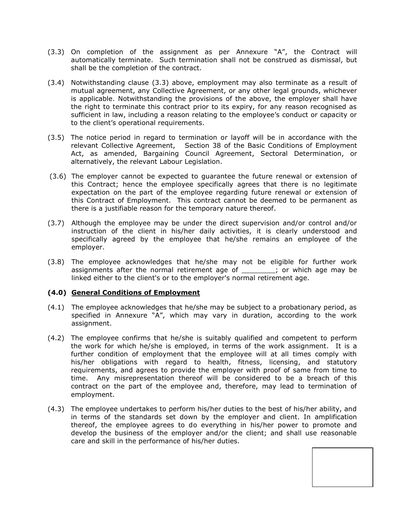- (3.3) On completion of the assignment as per Annexure "A", the Contract will automatically terminate. Such termination shall not be construed as dismissal, but shall be the completion of the contract.
- (3.4) Notwithstanding clause (3.3) above, employment may also terminate as a result of mutual agreement, any Collective Agreement, or any other legal grounds, whichever is applicable. Notwithstanding the provisions of the above, the employer shall have the right to terminate this contract prior to its expiry, for any reason recognised as sufficient in law, including a reason relating to the employee's conduct or capacity or to the client's operational requirements.
- (3.5) The notice period in regard to termination or layoff will be in accordance with the relevant Collective Agreement, Section 38 of the Basic Conditions of Employment Act, as amended, Bargaining Council Agreement, Sectoral Determination, or alternatively, the relevant Labour Legislation.
- (3.6) The employer cannot be expected to guarantee the future renewal or extension of this Contract; hence the employee specifically agrees that there is no legitimate expectation on the part of the employee regarding future renewal or extension of this Contract of Employment. This contract cannot be deemed to be permanent as there is a justifiable reason for the temporary nature thereof.
- (3.7) Although the employee may be under the direct supervision and/or control and/or instruction of the client in his/her daily activities, it is clearly understood and specifically agreed by the employee that he/she remains an employee of the employer.
- (3.8) The employee acknowledges that he/she may not be eligible for further work assignments after the normal retirement age of  $\cdot$ , or which age may be linked either to the client's or to the employer's normal retirement age.

# **(4.0) General Conditions of Employment**

- (4.1) The employee acknowledges that he/she may be subject to a probationary period, as specified in Annexure "A", which may vary in duration, according to the work assignment.
- (4.2) The employee confirms that he/she is suitably qualified and competent to perform the work for which he/she is employed, in terms of the work assignment. It is a further condition of employment that the employee will at all times comply with his/her obligations with regard to health, fitness, licensing, and statutory requirements, and agrees to provide the employer with proof of same from time to time. Any misrepresentation thereof will be considered to be a breach of this contract on the part of the employee and, therefore, may lead to termination of employment.
- (4.3) The employee undertakes to perform his/her duties to the best of his/her ability, and in terms of the standards set down by the employer and client. In amplification thereof, the employee agrees to do everything in his/her power to promote and develop the business of the employer and/or the client; and shall use reasonable care and skill in the performance of his/her duties.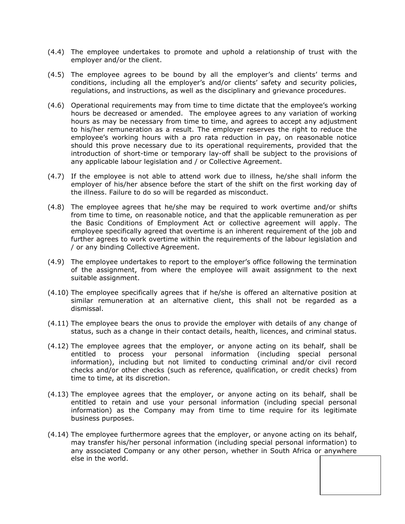- (4.4) The employee undertakes to promote and uphold a relationship of trust with the employer and/or the client.
- (4.5) The employee agrees to be bound by all the employer's and clients' terms and conditions, including all the employer's and/or clients' safety and security policies, regulations, and instructions, as well as the disciplinary and grievance procedures.
- (4.6) Operational requirements may from time to time dictate that the employee's working hours be decreased or amended. The employee agrees to any variation of working hours as may be necessary from time to time, and agrees to accept any adjustment to his/her remuneration as a result. The employer reserves the right to reduce the employee's working hours with a pro rata reduction in pay, on reasonable notice should this prove necessary due to its operational requirements, provided that the introduction of short-time or temporary lay-off shall be subject to the provisions of any applicable labour legislation and / or Collective Agreement.
- (4.7) If the employee is not able to attend work due to illness, he/she shall inform the employer of his/her absence before the start of the shift on the first working day of the illness. Failure to do so will be regarded as misconduct.
- (4.8) The employee agrees that he/she may be required to work overtime and/or shifts from time to time, on reasonable notice, and that the applicable remuneration as per the Basic Conditions of Employment Act or collective agreement will apply. The employee specifically agreed that overtime is an inherent requirement of the job and further agrees to work overtime within the requirements of the labour legislation and / or any binding Collective Agreement.
- (4.9) The employee undertakes to report to the employer's office following the termination of the assignment, from where the employee will await assignment to the next suitable assignment.
- (4.10) The employee specifically agrees that if he/she is offered an alternative position at similar remuneration at an alternative client, this shall not be regarded as a dismissal.
- (4.11) The employee bears the onus to provide the employer with details of any change of status, such as a change in their contact details, health, licences, and criminal status.
- (4.12) The employee agrees that the employer, or anyone acting on its behalf, shall be entitled to process your personal information (including special personal information), including but not limited to conducting criminal and/or civil record checks and/or other checks (such as reference, qualification, or credit checks) from time to time, at its discretion.
- (4.13) The employee agrees that the employer, or anyone acting on its behalf, shall be entitled to retain and use your personal information (including special personal information) as the Company may from time to time require for its legitimate business purposes.
- (4.14) The employee furthermore agrees that the employer, or anyone acting on its behalf, may transfer his/her personal information (including special personal information) to any associated Company or any other person, whether in South Africa or anywhere else in the world.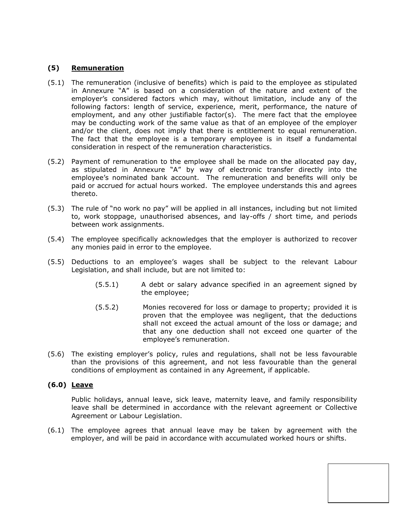### **(5) Remuneration**

- (5.1) The remuneration (inclusive of benefits) which is paid to the employee as stipulated in Annexure "A" is based on a consideration of the nature and extent of the employer's considered factors which may, without limitation, include any of the following factors: length of service, experience, merit, performance, the nature of employment, and any other justifiable factor(s). The mere fact that the employee may be conducting work of the same value as that of an employee of the employer and/or the client, does not imply that there is entitlement to equal remuneration. The fact that the employee is a temporary employee is in itself a fundamental consideration in respect of the remuneration characteristics.
- (5.2) Payment of remuneration to the employee shall be made on the allocated pay day, as stipulated in Annexure "A" by way of electronic transfer directly into the employee's nominated bank account. The remuneration and benefits will only be paid or accrued for actual hours worked. The employee understands this and agrees thereto.
- (5.3) The rule of "no work no pay" will be applied in all instances, including but not limited to, work stoppage, unauthorised absences, and lay-offs / short time, and periods between work assignments.
- (5.4) The employee specifically acknowledges that the employer is authorized to recover any monies paid in error to the employee.
- (5.5) Deductions to an employee's wages shall be subject to the relevant Labour Legislation, and shall include, but are not limited to:
	- (5.5.1) A debt or salary advance specified in an agreement signed by the employee;
	- (5.5.2) Monies recovered for loss or damage to property; provided it is proven that the employee was negligent, that the deductions shall not exceed the actual amount of the loss or damage; and that any one deduction shall not exceed one quarter of the employee's remuneration.
- (5.6) The existing employer's policy, rules and regulations, shall not be less favourable than the provisions of this agreement, and not less favourable than the general conditions of employment as contained in any Agreement, if applicable.

#### **(6.0) Leave**

Public holidays, annual leave, sick leave, maternity leave, and family responsibility leave shall be determined in accordance with the relevant agreement or Collective Agreement or Labour Legislation.

(6.1) The employee agrees that annual leave may be taken by agreement with the employer, and will be paid in accordance with accumulated worked hours or shifts.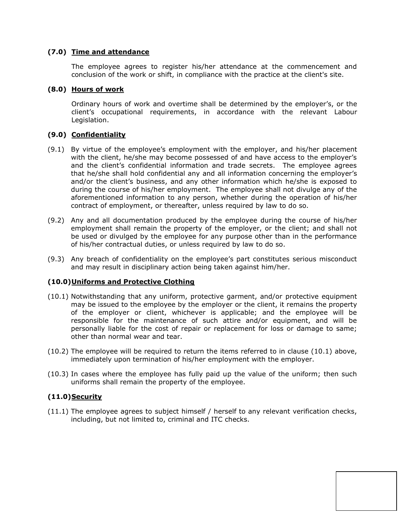### **(7.0) Time and attendance**

The employee agrees to register his/her attendance at the commencement and conclusion of the work or shift, in compliance with the practice at the client's site.

### **(8.0) Hours of work**

Ordinary hours of work and overtime shall be determined by the employer's, or the client's occupational requirements, in accordance with the relevant Labour Legislation.

# **(9.0) Confidentiality**

- (9.1) By virtue of the employee's employment with the employer, and his/her placement with the client, he/she may become possessed of and have access to the employer's and the client's confidential information and trade secrets. The employee agrees that he/she shall hold confidential any and all information concerning the employer's and/or the client's business, and any other information which he/she is exposed to during the course of his/her employment. The employee shall not divulge any of the aforementioned information to any person, whether during the operation of his/her contract of employment, or thereafter, unless required by law to do so.
- (9.2) Any and all documentation produced by the employee during the course of his/her employment shall remain the property of the employer, or the client; and shall not be used or divulged by the employee for any purpose other than in the performance of his/her contractual duties, or unless required by law to do so.
- (9.3) Any breach of confidentiality on the employee's part constitutes serious misconduct and may result in disciplinary action being taken against him/her.

#### **(10.0)Uniforms and Protective Clothing**

- (10.1) Notwithstanding that any uniform, protective garment, and/or protective equipment may be issued to the employee by the employer or the client, it remains the property of the employer or client, whichever is applicable; and the employee will be responsible for the maintenance of such attire and/or equipment, and will be personally liable for the cost of repair or replacement for loss or damage to same; other than normal wear and tear.
- (10.2) The employee will be required to return the items referred to in clause (10.1) above, immediately upon termination of his/her employment with the employer.
- (10.3) In cases where the employee has fully paid up the value of the uniform; then such uniforms shall remain the property of the employee.

# **(11.0)Security**

(11.1) The employee agrees to subject himself / herself to any relevant verification checks, including, but not limited to, criminal and ITC checks.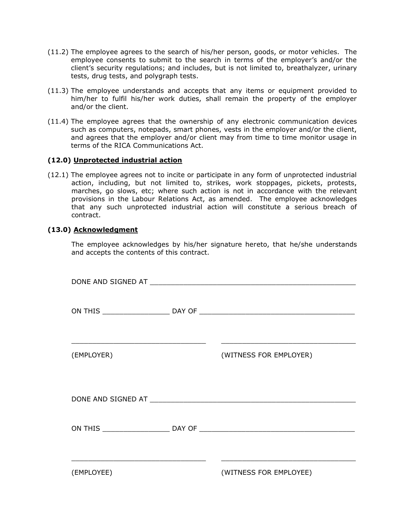- (11.2) The employee agrees to the search of his/her person, goods, or motor vehicles. The employee consents to submit to the search in terms of the employer's and/or the client's security regulations; and includes, but is not limited to, breathalyzer, urinary tests, drug tests, and polygraph tests.
- (11.3) The employee understands and accepts that any items or equipment provided to him/her to fulfil his/her work duties, shall remain the property of the employer and/or the client.
- (11.4) The employee agrees that the ownership of any electronic communication devices such as computers, notepads, smart phones, vests in the employer and/or the client, and agrees that the employer and/or client may from time to time monitor usage in terms of the RICA Communications Act.

### **(12.0) Unprotected industrial action**

(12.1) The employee agrees not to incite or participate in any form of unprotected industrial action, including, but not limited to, strikes, work stoppages, pickets, protests, marches, go slows, etc; where such action is not in accordance with the relevant provisions in the Labour Relations Act, as amended. The employee acknowledges that any such unprotected industrial action will constitute a serious breach of contract.

### **(13.0) Acknowledgment**

The employee acknowledges by his/her signature hereto, that he/she understands and accepts the contents of this contract.

| ON THIS _________________________________DAY OF _________________________________ |
|-----------------------------------------------------------------------------------|
|                                                                                   |
|                                                                                   |
|                                                                                   |
| (WITNESS FOR EMPLOYER)                                                            |
|                                                                                   |
|                                                                                   |
|                                                                                   |
|                                                                                   |
|                                                                                   |
|                                                                                   |
|                                                                                   |
| ON THIS __________________________________DAY OF _______________________________  |
|                                                                                   |
|                                                                                   |
|                                                                                   |
| (WITNESS FOR EMPLOYEE)                                                            |
|                                                                                   |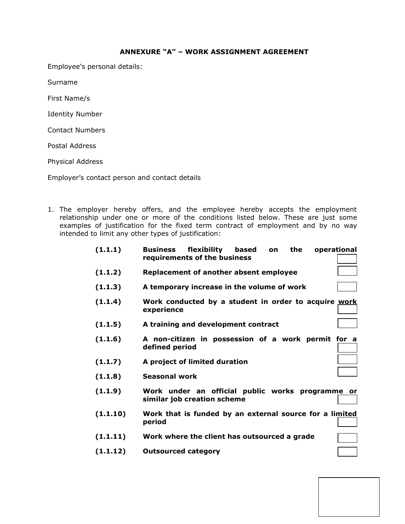#### **ANNEXURE "A" – WORK ASSIGNMENT AGREEMENT**

Employee's personal details:

Surname

First Name/s

Identity Number

Contact Numbers

Postal Address

Physical Address

Employer's contact person and contact details

1. The employer hereby offers, and the employee hereby accepts the employment relationship under one or more of the conditions listed below. These are just some examples of justification for the fixed term contract of employment and by no way intended to limit any other types of justification:

| (1.1.1)  | flexibility<br>based<br>the<br>operational<br><b>Business</b><br>on<br>requirements of the business |
|----------|-----------------------------------------------------------------------------------------------------|
| (1.1.2)  | Replacement of another absent employee                                                              |
| (1.1.3)  | A temporary increase in the volume of work                                                          |
| (1.1.4)  | Work conducted by a student in order to acquire work<br>experience                                  |
| (1.1.5)  | A training and development contract                                                                 |
| (1.1.6)  | A non-citizen in possession of a work permit for a<br>defined period                                |
| (1.1.7)  | A project of limited duration                                                                       |
| (1.1.8)  | Seasonal work                                                                                       |
| (1.1.9)  | Work under an official public works programme or<br>similar job creation scheme                     |
| (1.1.10) | Work that is funded by an external source for a limited<br>period                                   |
| (1.1.11) | Work where the client has outsourced a grade                                                        |
| (1.1.12) | <b>Outsourced category</b>                                                                          |
|          |                                                                                                     |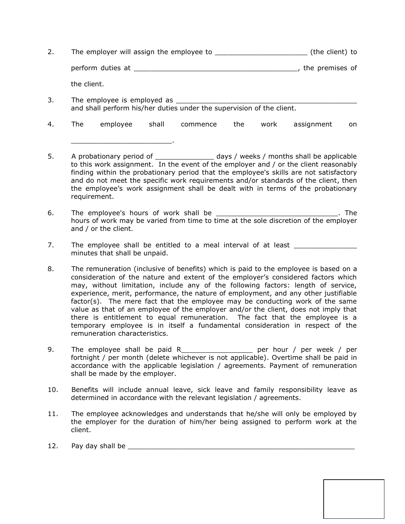- 2. The employer will assign the employee to \_\_\_\_\_\_\_\_\_\_\_\_\_\_\_\_\_\_\_\_\_\_\_\_\_\_\_\_\_\_ (the client) to perform duties at \_\_\_\_\_\_\_\_\_\_\_\_\_\_\_\_\_\_\_\_\_\_\_\_\_\_\_\_\_\_\_\_\_\_\_\_\_\_\_, the premises of the client.
- 3. The employee is employed as \_\_\_\_\_\_\_\_\_\_\_\_\_\_\_\_\_\_\_\_\_\_\_\_\_\_\_\_\_\_\_\_\_\_\_\_\_\_\_\_\_\_\_ and shall perform his/her duties under the supervision of the client.

\_\_\_\_\_\_\_\_\_\_\_\_\_\_\_\_\_\_\_\_\_\_\_\_.

- 4. The employee shall commence the work assignment on
- 5. A probationary period of \_\_\_\_\_\_\_\_\_\_\_\_\_\_\_\_\_ days / weeks / months shall be applicable to this work assignment. In the event of the employer and / or the client reasonably finding within the probationary period that the employee's skills are not satisfactory and do not meet the specific work requirements and/or standards of the client, then the employee's work assignment shall be dealt with in terms of the probationary requirement.
- 6. The employee's hours of work shall be \_\_\_\_\_\_\_\_\_\_\_\_\_\_\_\_\_\_\_\_\_\_\_\_\_\_\_\_\_\_\_\_. The hours of work may be varied from time to time at the sole discretion of the employer and / or the client.
- 7. The employee shall be entitled to a meal interval of at least minutes that shall be unpaid.
- 8. The remuneration (inclusive of benefits) which is paid to the employee is based on a consideration of the nature and extent of the employer's considered factors which may, without limitation, include any of the following factors: length of service, experience, merit, performance, the nature of employment, and any other justifiable factor(s). The mere fact that the employee may be conducting work of the same value as that of an employee of the employer and/or the client, does not imply that there is entitlement to equal remuneration. The fact that the employee is a temporary employee is in itself a fundamental consideration in respect of the remuneration characteristics.
- 9. The employee shall be paid R\_\_\_\_\_\_\_\_\_\_\_\_\_\_\_\_\_\_\_ per hour / per week / per fortnight / per month (delete whichever is not applicable). Overtime shall be paid in accordance with the applicable legislation / agreements. Payment of remuneration shall be made by the employer.
- 10. Benefits will include annual leave, sick leave and family responsibility leave as determined in accordance with the relevant legislation / agreements.
- 11. The employee acknowledges and understands that he/she will only be employed by the employer for the duration of him/her being assigned to perform work at the client.
- 12. Pay day shall be \_\_\_\_\_\_\_\_\_\_\_\_\_\_\_\_\_\_\_\_\_\_\_\_\_\_\_\_\_\_\_\_\_\_\_\_\_\_\_\_\_\_\_\_\_\_\_\_\_\_\_\_\_\_